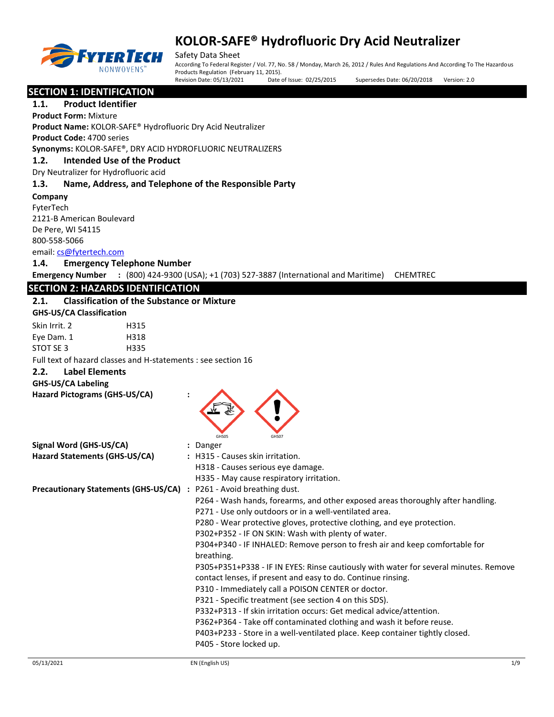

Safety Data Sheet

According To Federal Register / Vol. 77, No. 58 / Monday, March 26, 2012 / Rules And Regulations And According To The Hazardous Products Regulation (February 11, 2015). Revision Date: 05/13/2021 Date of Issue: 02/25/2015 Supersedes Date: 06/20/2018 Version: 2.0

**SECTION 1: IDENTIFICATION** 

**1.1. Product Identifier Product Form:** Mixture **Product Name:** KOLOR-SAFE® Hydrofluoric Dry Acid Neutralizer **Product Code:** 4700 series **Synonyms:** KOLOR-SAFE®, DRY ACID HYDROFLUORIC NEUTRALIZERS **1.2. Intended Use of the Product** Dry Neutralizer for Hydrofluoric acid **1.3. Name, Address, and Telephone of the Responsible Party Company**  FyterTech 2121-B American Boulevard De Pere, WI 54115 800-558-5066 email:<cs@fytertech.com> **1.4. Emergency Telephone Number Emergency Number :** (800) 424-9300 (USA); +1 (703) 527-3887 (International and Maritime) CHEMTREC **SECTION 2: HAZARDS IDENTIFICATION 2.1. Classification of the Substance or Mixture GHS-US/CA Classification** Skin Irrit. 2 H315 Eye Dam. 1 H318 STOT SE 3 H335 Full text of hazard classes and H-statements : see section 16 **2.2. Label Elements GHS-US/CA Labeling Hazard Pictograms (GHS-US/CA) :** GHS05 GHS07 **Signal Word (GHS-US/CA) :** Danger **Hazard Statements (GHS-US/CA) :** H315 - Causes skin irritation. H318 - Causes serious eye damage. H335 - May cause respiratory irritation. **Precautionary Statements (GHS-US/CA) :** P261 - Avoid breathing dust. P264 - Wash hands, forearms, and other exposed areas thoroughly after handling. P271 - Use only outdoors or in a well-ventilated area. P280 - Wear protective gloves, protective clothing, and eye protection. P302+P352 - IF ON SKIN: Wash with plenty of water. P304+P340 - IF INHALED: Remove person to fresh air and keep comfortable for breathing. P305+P351+P338 - IF IN EYES: Rinse cautiously with water for several minutes. Remove contact lenses, if present and easy to do. Continue rinsing. P310 - Immediately call a POISON CENTER or doctor. P321 - Specific treatment (see section 4 on this SDS). P332+P313 - If skin irritation occurs: Get medical advice/attention. P362+P364 - Take off contaminated clothing and wash it before reuse.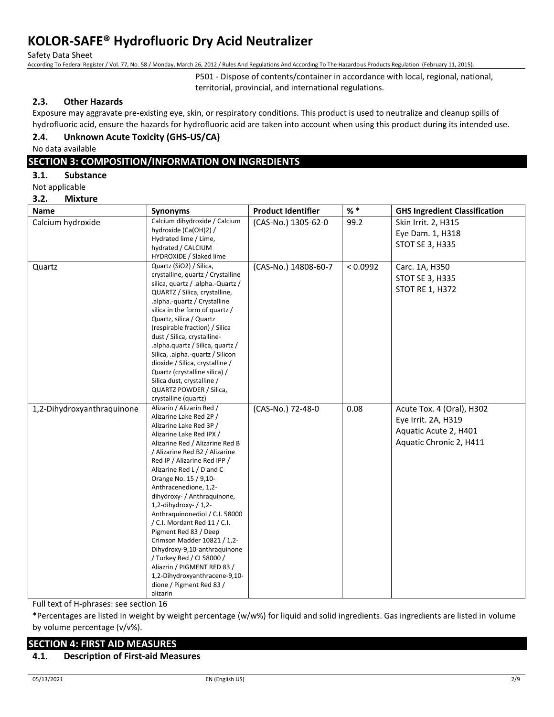Safety Data Sheet

According To Federal Register / Vol. 77, No. 58 / Monday, March 26, 2012 / Rules And Regulations And According To The Hazardous Products Regulation (February 11, 2015).

P501 - Dispose of contents/container in accordance with local, regional, national, territorial, provincial, and international regulations.

### **2.3. Other Hazards**

Exposure may aggravate pre-existing eye, skin, or respiratory conditions. This product is used to neutralize and cleanup spills of hydrofluoric acid, ensure the hazards for hydrofluoric acid are taken into account when using this product during its intended use.

## **2.4. Unknown Acute Toxicity (GHS-US/CA)**

No data available

## **SECTION 3: COMPOSITION/INFORMATION ON INGREDIENTS**

**3.1. Substance**

Not applicable

#### **3.2. Mixture**

| <b>Name</b>                | Synonyms                                                                                                                                                                                                                                                                                                                                                                                                                                                                                                                                                                                                                                               | <b>Product Identifier</b> | $%$ *    | <b>GHS Ingredient Classification</b>                                                                 |
|----------------------------|--------------------------------------------------------------------------------------------------------------------------------------------------------------------------------------------------------------------------------------------------------------------------------------------------------------------------------------------------------------------------------------------------------------------------------------------------------------------------------------------------------------------------------------------------------------------------------------------------------------------------------------------------------|---------------------------|----------|------------------------------------------------------------------------------------------------------|
| Calcium hydroxide          | Calcium dihydroxide / Calcium<br>hydroxide (Ca(OH)2) /<br>Hydrated lime / Lime,<br>hydrated / CALCIUM<br>HYDROXIDE / Slaked lime                                                                                                                                                                                                                                                                                                                                                                                                                                                                                                                       | (CAS-No.) 1305-62-0       | 99.2     | Skin Irrit. 2, H315<br>Eye Dam. 1, H318<br>STOT SE 3, H335                                           |
| Quartz                     | Quartz (SiO2) / Silica,<br>crystalline, quartz / Crystalline<br>silica, quartz / .alpha.-Quartz /<br>QUARTZ / Silica, crystalline,<br>.alpha.-quartz / Crystalline<br>silica in the form of quartz /<br>Quartz, silica / Quartz<br>(respirable fraction) / Silica<br>dust / Silica, crystalline-<br>.alpha.quartz / Silica, quartz /<br>Silica, .alpha.-quartz / Silicon<br>dioxide / Silica, crystalline /<br>Quartz (crystalline silica) /<br>Silica dust, crystalline /<br>QUARTZ POWDER / Silica,<br>crystalline (quartz)                                                                                                                          | (CAS-No.) 14808-60-7      | < 0.0992 | Carc. 1A, H350<br><b>STOT SE 3, H335</b><br><b>STOT RE 1, H372</b>                                   |
| 1,2-Dihydroxyanthraquinone | Alizarin / Alizarin Red /<br>Alizarine Lake Red 2P /<br>Alizarine Lake Red 3P /<br>Alizarine Lake Red IPX /<br>Alizarine Red / Alizarine Red B<br>/ Alizarine Red B2 / Alizarine<br>Red IP / Alizarine Red IPP /<br>Alizarine Red L / D and C<br>Orange No. 15 / 9,10-<br>Anthracenedione, 1,2-<br>dihydroxy- / Anthraquinone,<br>1,2-dihydroxy- / 1,2-<br>Anthraguinonediol / C.I. 58000<br>/ C.I. Mordant Red 11 / C.I.<br>Pigment Red 83 / Deep<br>Crimson Madder 10821 / 1,2-<br>Dihydroxy-9,10-anthraquinone<br>/ Turkey Red / CI 58000 /<br>Aliazrin / PIGMENT RED 83 /<br>1,2-Dihydroxyanthracene-9,10-<br>dione / Pigment Red 83 /<br>alizarin | (CAS-No.) 72-48-0         | 0.08     | Acute Tox. 4 (Oral), H302<br>Eye Irrit. 2A, H319<br>Aquatic Acute 2, H401<br>Aquatic Chronic 2, H411 |

Full text of H-phrases: see section 16

\*Percentages are listed in weight by weight percentage (w/w%) for liquid and solid ingredients. Gas ingredients are listed in volume by volume percentage (v/v%).

## **SECTION 4: FIRST AID MEASURES**

#### **4.1. Description of First-aid Measures**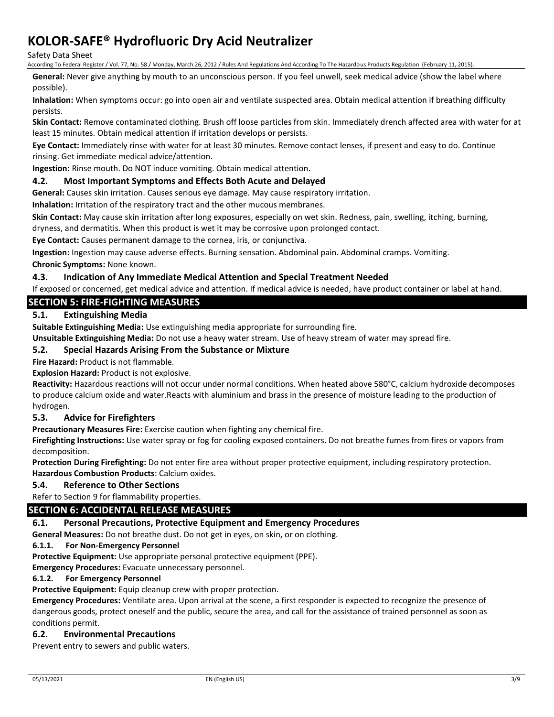Safety Data Sheet

According To Federal Register / Vol. 77, No. 58 / Monday, March 26, 2012 / Rules And Regulations And According To The Hazardous Products Regulation (February 11, 2015).

**General:** Never give anything by mouth to an unconscious person. If you feel unwell, seek medical advice (show the label where possible).

**Inhalation:** When symptoms occur: go into open air and ventilate suspected area. Obtain medical attention if breathing difficulty persists.

**Skin Contact:** Remove contaminated clothing. Brush off loose particles from skin. Immediately drench affected area with water for at least 15 minutes. Obtain medical attention if irritation develops or persists.

**Eye Contact:** Immediately rinse with water for at least 30 minutes. Remove contact lenses, if present and easy to do. Continue rinsing. Get immediate medical advice/attention.

**Ingestion:** Rinse mouth. Do NOT induce vomiting. Obtain medical attention.

## **4.2. Most Important Symptoms and Effects Both Acute and Delayed**

**General:** Causes skin irritation. Causes serious eye damage. May cause respiratory irritation.

**Inhalation:** Irritation of the respiratory tract and the other mucous membranes.

**Skin Contact:** May cause skin irritation after long exposures, especially on wet skin. Redness, pain, swelling, itching, burning, dryness, and dermatitis. When this product is wet it may be corrosive upon prolonged contact.

**Eye Contact:** Causes permanent damage to the cornea, iris, or conjunctiva.

**Ingestion:** Ingestion may cause adverse effects. Burning sensation. Abdominal pain. Abdominal cramps. Vomiting. **Chronic Symptoms:** None known.

### **4.3. Indication of Any Immediate Medical Attention and Special Treatment Needed**

If exposed or concerned, get medical advice and attention. If medical advice is needed, have product container or label at hand.

## **SECTION 5: FIRE-FIGHTING MEASURES**

## **5.1. Extinguishing Media**

**Suitable Extinguishing Media:** Use extinguishing media appropriate for surrounding fire.

**Unsuitable Extinguishing Media:** Do not use a heavy water stream. Use of heavy stream of water may spread fire.

### **5.2. Special Hazards Arising From the Substance or Mixture**

**Fire Hazard:** Product is not flammable.

**Explosion Hazard:** Product is not explosive.

**Reactivity:** Hazardous reactions will not occur under normal conditions. When heated above 580°C, calcium hydroxide decomposes to produce calcium oxide and water.Reacts with aluminium and brass in the presence of moisture leading to the production of hydrogen.

#### **5.3. Advice for Firefighters**

**Precautionary Measures Fire:** Exercise caution when fighting any chemical fire.

**Firefighting Instructions:** Use water spray or fog for cooling exposed containers. Do not breathe fumes from fires or vapors from decomposition.

**Protection During Firefighting:** Do not enter fire area without proper protective equipment, including respiratory protection. **Hazardous Combustion Products**: Calcium oxides.

#### **5.4. Reference to Other Sections**

Refer to Section 9 for flammability properties.

## **SECTION 6: ACCIDENTAL RELEASE MEASURES**

#### **6.1. Personal Precautions, Protective Equipment and Emergency Procedures**

**General Measures:** Do not breathe dust. Do not get in eyes, on skin, or on clothing.

#### **6.1.1. For Non-Emergency Personnel**

**Protective Equipment:** Use appropriate personal protective equipment (PPE).

**Emergency Procedures:** Evacuate unnecessary personnel.

#### **6.1.2. For Emergency Personnel**

**Protective Equipment:** Equip cleanup crew with proper protection.

**Emergency Procedures:** Ventilate area. Upon arrival at the scene, a first responder is expected to recognize the presence of dangerous goods, protect oneself and the public, secure the area, and call for the assistance of trained personnel as soon as conditions permit.

#### **6.2. Environmental Precautions**

Prevent entry to sewers and public waters.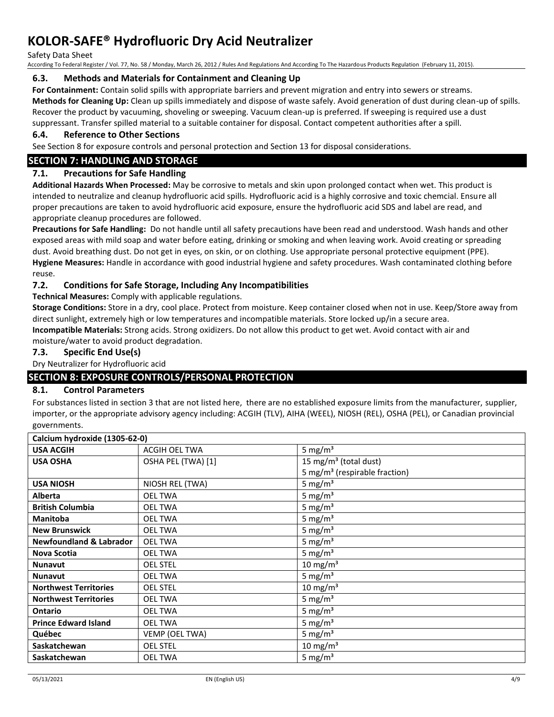Safety Data Sheet

According To Federal Register / Vol. 77, No. 58 / Monday, March 26, 2012 / Rules And Regulations And According To The Hazardous Products Regulation (February 11, 2015).

### **6.3. Methods and Materials for Containment and Cleaning Up**

**For Containment:** Contain solid spills with appropriate barriers and prevent migration and entry into sewers or streams. **Methods for Cleaning Up:** Clean up spills immediately and dispose of waste safely. Avoid generation of dust during clean-up of spills. Recover the product by vacuuming, shoveling or sweeping. Vacuum clean-up is preferred. If sweeping is required use a dust suppressant. Transfer spilled material to a suitable container for disposal. Contact competent authorities after a spill.

### **6.4. Reference to Other Sections**

See Section 8 for exposure controls and personal protection and Section 13 for disposal considerations.

## **SECTION 7: HANDLING AND STORAGE**

## **7.1. Precautions for Safe Handling**

**Additional Hazards When Processed:** May be corrosive to metals and skin upon prolonged contact when wet. This product is intended to neutralize and cleanup hydrofluoric acid spills. Hydrofluoric acid is a highly corrosive and toxic chemcial. Ensure all proper precautions are taken to avoid hydrofluoric acid exposure, ensure the hydrofluoric acid SDS and label are read, and appropriate cleanup procedures are followed.

**Precautions for Safe Handling:** Do not handle until all safety precautions have been read and understood. Wash hands and other exposed areas with mild soap and water before eating, drinking or smoking and when leaving work. Avoid creating or spreading dust. Avoid breathing dust. Do not get in eyes, on skin, or on clothing. Use appropriate personal protective equipment (PPE). **Hygiene Measures:** Handle in accordance with good industrial hygiene and safety procedures. Wash contaminated clothing before reuse.

## **7.2. Conditions for Safe Storage, Including Any Incompatibilities**

**Technical Measures:** Comply with applicable regulations.

**Storage Conditions:** Store in a dry, cool place. Protect from moisture. Keep container closed when not in use. Keep/Store away from direct sunlight, extremely high or low temperatures and incompatible materials. Store locked up/in a secure area. **Incompatible Materials:** Strong acids. Strong oxidizers. Do not allow this product to get wet. Avoid contact with air and moisture/water to avoid product degradation.

### **7.3. Specific End Use(s)**

Dry Neutralizer for Hydrofluoric acid

## **SECTION 8: EXPOSURE CONTROLS/PERSONAL PROTECTION**

#### **8.1. Control Parameters**

For substances listed in section 3 that are not listed here, there are no established exposure limits from the manufacturer, supplier, importer, or the appropriate advisory agency including: ACGIH (TLV), AIHA (WEEL), NIOSH (REL), OSHA (PEL), or Canadian provincial governments.

| Calcium hydroxide (1305-62-0)      |                    |                                           |
|------------------------------------|--------------------|-------------------------------------------|
| <b>USA ACGIH</b>                   | ACGIH OEL TWA      | 5 mg/ $m3$                                |
| <b>USA OSHA</b>                    | OSHA PEL (TWA) [1] | 15 mg/m <sup>3</sup> (total dust)         |
|                                    |                    | 5 mg/m <sup>3</sup> (respirable fraction) |
| <b>USA NIOSH</b>                   | NIOSH REL (TWA)    | 5 mg/ $m3$                                |
| <b>Alberta</b>                     | <b>OEL TWA</b>     | 5 mg/ $m3$                                |
| <b>British Columbia</b>            | <b>OEL TWA</b>     | 5 mg/ $m3$                                |
| <b>Manitoba</b>                    | <b>OEL TWA</b>     | 5 mg/ $m3$                                |
| <b>New Brunswick</b>               | <b>OEL TWA</b>     | 5 mg/ $m3$                                |
| <b>Newfoundland &amp; Labrador</b> | <b>OEL TWA</b>     | 5 mg/ $m3$                                |
| Nova Scotia                        | <b>OEL TWA</b>     | 5 mg/ $m3$                                |
| <b>Nunavut</b>                     | <b>OEL STEL</b>    | 10 mg/m <sup>3</sup>                      |
| <b>Nunavut</b>                     | <b>OEL TWA</b>     | 5 mg/ $m3$                                |
| <b>Northwest Territories</b>       | <b>OEL STEL</b>    | 10 mg/m $3$                               |
| <b>Northwest Territories</b>       | <b>OEL TWA</b>     | 5 mg/ $m3$                                |
| Ontario                            | <b>OEL TWA</b>     | 5 mg/ $m3$                                |
| <b>Prince Edward Island</b>        | <b>OEL TWA</b>     | 5 mg/ $m3$                                |
| Québec                             | VEMP (OEL TWA)     | 5 mg/ $m3$                                |
| Saskatchewan                       | <b>OEL STEL</b>    | 10 mg/m $3$                               |
| Saskatchewan                       | <b>OEL TWA</b>     | 5 mg/ $m3$                                |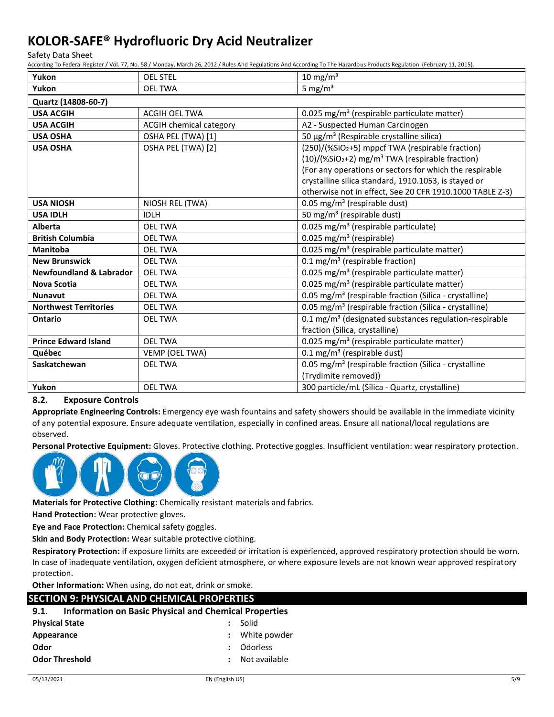Safety Data Sheet

According To Federal Register / Vol. 77, No. 58 / Monday, March 26, 2012 / Rules And Regulations And According To The Hazardous Products Regulation (February 11, 2015).

| Yukon                              | <b>OEL STEL</b>                | $10 \text{ mg/m}^3$                                                        |  |  |
|------------------------------------|--------------------------------|----------------------------------------------------------------------------|--|--|
| Yukon                              | <b>OEL TWA</b>                 | 5 mg/ $m3$                                                                 |  |  |
| Quartz (14808-60-7)                |                                |                                                                            |  |  |
| <b>USA ACGIH</b>                   | ACGIH OEL TWA                  | 0.025 mg/m <sup>3</sup> (respirable particulate matter)                    |  |  |
| <b>USA ACGIH</b>                   | <b>ACGIH chemical category</b> | A2 - Suspected Human Carcinogen                                            |  |  |
| <b>USA OSHA</b>                    | OSHA PEL (TWA) [1]             | 50 μg/m <sup>3</sup> (Respirable crystalline silica)                       |  |  |
| <b>USA OSHA</b>                    | OSHA PEL (TWA) [2]             | (250)/(%SiO2+5) mppcf TWA (respirable fraction)                            |  |  |
|                                    |                                | $(10)/($ %SiO <sub>2</sub> +2) mg/m <sup>3</sup> TWA (respirable fraction) |  |  |
|                                    |                                | (For any operations or sectors for which the respirable                    |  |  |
|                                    |                                | crystalline silica standard, 1910.1053, is stayed or                       |  |  |
|                                    |                                | otherwise not in effect, See 20 CFR 1910.1000 TABLE Z-3)                   |  |  |
| <b>USA NIOSH</b>                   | NIOSH REL (TWA)                | 0.05 mg/m <sup>3</sup> (respirable dust)                                   |  |  |
| <b>USA IDLH</b>                    | <b>IDLH</b>                    | 50 mg/m <sup>3</sup> (respirable dust)                                     |  |  |
| Alberta                            | <b>OEL TWA</b>                 | 0.025 mg/m <sup>3</sup> (respirable particulate)                           |  |  |
| <b>British Columbia</b>            | <b>OEL TWA</b>                 | 0.025 mg/m <sup>3</sup> (respirable)                                       |  |  |
| <b>Manitoba</b>                    | <b>OEL TWA</b>                 | 0.025 mg/m <sup>3</sup> (respirable particulate matter)                    |  |  |
| <b>New Brunswick</b>               | <b>OEL TWA</b>                 | 0.1 mg/m <sup>3</sup> (respirable fraction)                                |  |  |
| <b>Newfoundland &amp; Labrador</b> | <b>OEL TWA</b>                 | 0.025 mg/m <sup>3</sup> (respirable particulate matter)                    |  |  |
| <b>Nova Scotia</b>                 | <b>OEL TWA</b>                 | 0.025 mg/m <sup>3</sup> (respirable particulate matter)                    |  |  |
| <b>Nunavut</b>                     | <b>OEL TWA</b>                 | 0.05 mg/m <sup>3</sup> (respirable fraction (Silica - crystalline)         |  |  |
| <b>Northwest Territories</b>       | <b>OEL TWA</b>                 | 0.05 mg/m <sup>3</sup> (respirable fraction (Silica - crystalline)         |  |  |
| <b>Ontario</b>                     | <b>OEL TWA</b>                 | 0.1 mg/m <sup>3</sup> (designated substances regulation-respirable         |  |  |
|                                    |                                | fraction (Silica, crystalline)                                             |  |  |
| <b>Prince Edward Island</b>        | <b>OEL TWA</b>                 | 0.025 mg/m <sup>3</sup> (respirable particulate matter)                    |  |  |
| Québec                             | VEMP (OEL TWA)                 | $0.1 \text{ mg/m}^3$ (respirable dust)                                     |  |  |
| Saskatchewan                       | <b>OEL TWA</b>                 | 0.05 mg/m <sup>3</sup> (respirable fraction (Silica - crystalline          |  |  |
|                                    |                                | (Trydimite removed))                                                       |  |  |
| Yukon                              | <b>OEL TWA</b>                 | 300 particle/mL (Silica - Quartz, crystalline)                             |  |  |

#### **8.2. Exposure Controls**

**Appropriate Engineering Controls:** Emergency eye wash fountains and safety showers should be available in the immediate vicinity of any potential exposure. Ensure adequate ventilation, especially in confined areas. Ensure all national/local regulations are observed.

**Personal Protective Equipment:** Gloves. Protective clothing. Protective goggles. Insufficient ventilation: wear respiratory protection.



**Materials for Protective Clothing:** Chemically resistant materials and fabrics.

**Hand Protection:** Wear protective gloves.

**Eye and Face Protection:** Chemical safety goggles.

**Skin and Body Protection:** Wear suitable protective clothing.

**Respiratory Protection:** If exposure limits are exceeded or irritation is experienced, approved respiratory protection should be worn. In case of inadequate ventilation, oxygen deficient atmosphere, or where exposure levels are not known wear approved respiratory protection.

**Other Information:** When using, do not eat, drink or smoke.

| <b>SECTION 9: PHYSICAL AND CHEMICAL PROPERTIES</b>                   |                      |                 |  |
|----------------------------------------------------------------------|----------------------|-----------------|--|
| <b>Information on Basic Physical and Chemical Properties</b><br>9.1. |                      |                 |  |
| <b>Physical State</b>                                                |                      | Solid           |  |
| Appearance                                                           | $\ddot{\phantom{a}}$ | White powder    |  |
| Odor                                                                 |                      | <b>Odorless</b> |  |
| <b>Odor Threshold</b>                                                | $\cdot$              | Not available   |  |
|                                                                      |                      |                 |  |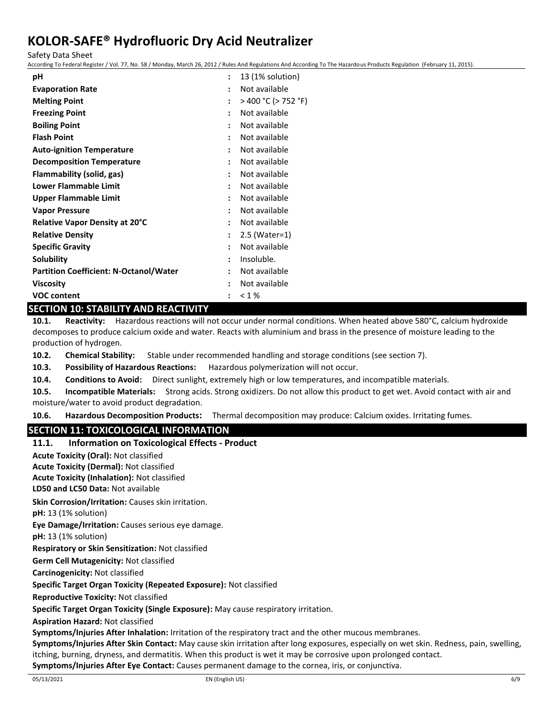Safety Data Sheet

According To Federal Register / Vol. 77, No. 58 / Monday, March 26, 2012 / Rules And Regulations And According To The Hazardous Products Regulation (February 11, 2015).

| рH                                            |                      | 13 (1% solution)    |
|-----------------------------------------------|----------------------|---------------------|
| <b>Evaporation Rate</b>                       |                      | Not available       |
| <b>Melting Point</b>                          | $\ddot{\phantom{a}}$ | > 400 °C (> 752 °F) |
| <b>Freezing Point</b>                         | $\ddot{\phantom{a}}$ | Not available       |
| <b>Boiling Point</b>                          | $\ddot{\phantom{a}}$ | Not available       |
| <b>Flash Point</b>                            | ٠                    | Not available       |
| <b>Auto-ignition Temperature</b>              | ٠                    | Not available       |
| <b>Decomposition Temperature</b>              | $\ddot{\phantom{a}}$ | Not available       |
| Flammability (solid, gas)                     | $\ddot{\phantom{a}}$ | Not available       |
| <b>Lower Flammable Limit</b>                  | $\ddot{\phantom{a}}$ | Not available       |
| Upper Flammable Limit                         | $\ddot{\phantom{a}}$ | Not available       |
| <b>Vapor Pressure</b>                         | $\ddot{\phantom{a}}$ | Not available       |
| <b>Relative Vapor Density at 20°C</b>         |                      | Not available       |
| <b>Relative Density</b>                       | $\ddot{\phantom{a}}$ | 2.5 (Water=1)       |
| <b>Specific Gravity</b>                       | :                    | Not available       |
| Solubility                                    | $\ddot{\phantom{a}}$ | Insoluble.          |
| <b>Partition Coefficient: N-Octanol/Water</b> | $\ddot{\phantom{a}}$ | Not available       |
| <b>Viscosity</b>                              | ٠                    | Not available       |
| <b>VOC content</b>                            |                      | < 1%                |

## **SECTION 10: STABILITY AND REACTIVITY**

**10.1. Reactivity:** Hazardous reactions will not occur under normal conditions. When heated above 580°C, calcium hydroxide decomposes to produce calcium oxide and water. Reacts with aluminium and brass in the presence of moisture leading to the production of hydrogen.

**10.2. Chemical Stability:** Stable under recommended handling and storage conditions (see section 7).

**10.3. Possibility of Hazardous Reactions:** Hazardous polymerization will not occur.

**10.4. Conditions to Avoid:** Direct sunlight, extremely high or low temperatures, and incompatible materials.

**10.5. Incompatible Materials:** Strong acids. Strong oxidizers. Do not allow this product to get wet. Avoid contact with air and moisture/water to avoid product degradation.

**10.6. Hazardous Decomposition Products:** Thermal decomposition may produce: Calcium oxides. Irritating fumes.

## **SECTION 11: TOXICOLOGICAL INFORMATION**

**11.1. Information on Toxicological Effects - Product LD50 and LC50 Data:** Not available **Skin Corrosion/Irritation:** Causes skin irritation. **pH:** 13 (1% solution) **Eye Damage/Irritation:** Causes serious eye damage. **pH:** 13 (1% solution) **Respiratory or Skin Sensitization:** Not classified **Germ Cell Mutagenicity:** Not classified**Carcinogenicity:** Not classified **Specific Target Organ Toxicity (Repeated Exposure):** Not classified **Reproductive Toxicity:** Not classified **Specific Target Organ Toxicity (Single Exposure):** May cause respiratory irritation. **Aspiration Hazard:** Not classified **Symptoms/Injuries After Inhalation:** Irritation of the respiratory tract and the other mucous membranes. **Symptoms/Injuries After Skin Contact:** May cause skin irritation after long exposures, especially on wet skin. Redness, pain, swelling, itching, burning, dryness, and dermatitis. When this product is wet it may be corrosive upon prolonged contact. **Symptoms/Injuries After Eye Contact:** Causes permanent damage to the cornea, iris, or conjunctiva. **Acute Toxicity (Oral):** Not classified **Acute Toxicity (Dermal):** Not classified **Acute Toxicity (Inhalation):** Not classified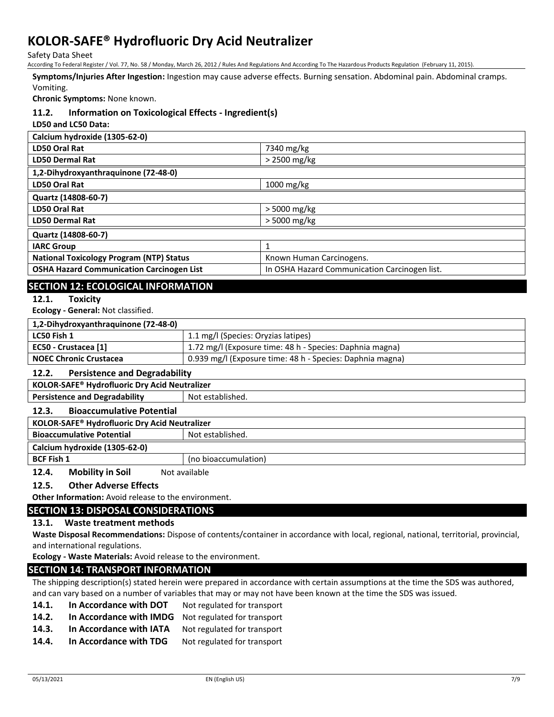Safety Data Sheet

According To Federal Register / Vol. 77, No. 58 / Monday, March 26, 2012 / Rules And Regulations And According To The Hazardous Products Regulation (February 11, 2015).

**Symptoms/Injuries After Ingestion:** Ingestion may cause adverse effects. Burning sensation. Abdominal pain. Abdominal cramps.

#### Vomiting.

**Chronic Symptoms:** None known.

#### **11.2. Information on Toxicological Effects - Ingredient(s)**

**LD50 and LC50 Data:**

| Calcium hydroxide (1305-62-0)                    |                                               |
|--------------------------------------------------|-----------------------------------------------|
| LD50 Oral Rat                                    | 7340 mg/kg                                    |
| <b>LD50 Dermal Rat</b>                           | $>$ 2500 mg/kg                                |
| 1,2-Dihydroxyanthraquinone (72-48-0)             |                                               |
| <b>LD50 Oral Rat</b>                             | 1000 mg/kg                                    |
| Quartz (14808-60-7)                              |                                               |
| <b>LD50 Oral Rat</b>                             | $>$ 5000 mg/kg                                |
| <b>LD50 Dermal Rat</b>                           | $>$ 5000 mg/kg                                |
| Quartz (14808-60-7)                              |                                               |
| <b>IARC Group</b>                                | 1                                             |
| <b>National Toxicology Program (NTP) Status</b>  | Known Human Carcinogens.                      |
| <b>OSHA Hazard Communication Carcinogen List</b> | In OSHA Hazard Communication Carcinogen list. |

## **SECTION 12: ECOLOGICAL INFORMATION**

#### **12.1. Toxicity**

**Ecology - General:** Not classified.

| 1,2-Dihydroxyanthraquinone (72-48-0) |                                                           |
|--------------------------------------|-----------------------------------------------------------|
| LC50 Fish 1                          | 1.1 mg/l (Species: Oryzias latipes)                       |
| EC50 - Crustacea [1]                 | 1.72 mg/l (Exposure time: 48 h - Species: Daphnia magna)  |
| <b>NOEC Chronic Crustacea</b>        | 0.939 mg/l (Exposure time: 48 h - Species: Daphnia magna) |
|                                      |                                                           |

#### **12.2. Persistence and Degradability**

**KOLOR-SAFE® Hydrofluoric Dry Acid Neutralizer Persistence and Degradability** Not established.

#### **12.3. Bioaccumulative Potential**

| <b>KOLOR-SAFE<sup>®</sup> Hydrofluoric Dry Acid Neutralizer</b> |                      |  |
|-----------------------------------------------------------------|----------------------|--|
| <b>Bioaccumulative Potential</b>                                | Not established.     |  |
| Calcium hydroxide (1305-62-0)                                   |                      |  |
| <b>BCF Fish 1</b>                                               | (no bioaccumulation) |  |

**12.4.** Mobility in Soil Not available

### **12.5. Other Adverse Effects**

**Other Information:** Avoid release to the environment.

## **SECTION 13: DISPOSAL CONSIDERATIONS**

## **13.1. Waste treatment methods**

**Waste Disposal Recommendations:** Dispose of contents/container in accordance with local, regional, national, territorial, provincial, and international regulations.

**Ecology - Waste Materials:** Avoid release to the environment.

## **SECTION 14: TRANSPORT INFORMATION**

The shipping description(s) stated herein were prepared in accordance with certain assumptions at the time the SDS was authored, and can vary based on a number of variables that may or may not have been known at the time the SDS was issued.

- 14.1. **In Accordance with DOT** Not regulated for transport
- **14.2. In Accordance with IMDG** Not regulated for transport
- 14.3. In Accordance with IATA Not regulated for transport
- 14.4. In Accordance with TDG Not regulated for transport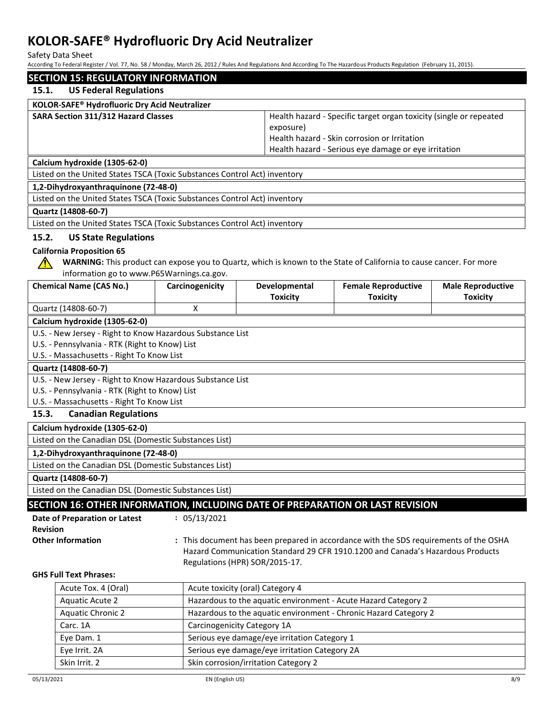Safety Data Sheet

According To Federal Register / Vol. 77, No. 58 / Monday, March 26, 2012 / Rules And Regulations And According To The Hazardous Products Regulation (February 11, 2015).

| <b>SECTION 15: REGULATORY INFORMATION</b><br><b>US Federal Regulations</b><br>15.1.<br>KOLOR-SAFE® Hydrofluoric Dry Acid Neutralizer<br>SARA Section 311/312 Hazard Classes<br>Health hazard - Specific target organ toxicity (single or repeated<br>exposure)<br>Health hazard - Skin corrosion or Irritation<br>Health hazard - Serious eye damage or eye irritation<br>Calcium hydroxide (1305-62-0)<br>Listed on the United States TSCA (Toxic Substances Control Act) inventory<br>1,2-Dihydroxyanthraquinone (72-48-0)<br>Listed on the United States TSCA (Toxic Substances Control Act) inventory<br>Quartz (14808-60-7)<br>Listed on the United States TSCA (Toxic Substances Control Act) inventory<br>15.2.<br><b>US State Regulations</b><br><b>California Proposition 65</b><br>WARNING: This product can expose you to Quartz, which is known to the State of California to cause cancer. For more<br>∕∿<br>information go to www.P65Warnings.ca.gov.<br><b>Chemical Name (CAS No.)</b><br>Developmental<br><b>Female Reproductive</b><br>Carcinogenicity<br><b>Male Reproductive</b><br><b>Toxicity</b><br><b>Toxicity</b><br><b>Toxicity</b><br>Quartz (14808-60-7)<br>X<br>Calcium hydroxide (1305-62-0)<br>U.S. - New Jersey - Right to Know Hazardous Substance List<br>U.S. - Pennsylvania - RTK (Right to Know) List<br>U.S. - Massachusetts - Right To Know List<br>Quartz (14808-60-7)<br>U.S. - New Jersey - Right to Know Hazardous Substance List<br>U.S. - Pennsylvania - RTK (Right to Know) List |  |  |
|-------------------------------------------------------------------------------------------------------------------------------------------------------------------------------------------------------------------------------------------------------------------------------------------------------------------------------------------------------------------------------------------------------------------------------------------------------------------------------------------------------------------------------------------------------------------------------------------------------------------------------------------------------------------------------------------------------------------------------------------------------------------------------------------------------------------------------------------------------------------------------------------------------------------------------------------------------------------------------------------------------------------------------------------------------------------------------------------------------------------------------------------------------------------------------------------------------------------------------------------------------------------------------------------------------------------------------------------------------------------------------------------------------------------------------------------------------------------------------------------------------------------------------|--|--|
|                                                                                                                                                                                                                                                                                                                                                                                                                                                                                                                                                                                                                                                                                                                                                                                                                                                                                                                                                                                                                                                                                                                                                                                                                                                                                                                                                                                                                                                                                                                               |  |  |
|                                                                                                                                                                                                                                                                                                                                                                                                                                                                                                                                                                                                                                                                                                                                                                                                                                                                                                                                                                                                                                                                                                                                                                                                                                                                                                                                                                                                                                                                                                                               |  |  |
|                                                                                                                                                                                                                                                                                                                                                                                                                                                                                                                                                                                                                                                                                                                                                                                                                                                                                                                                                                                                                                                                                                                                                                                                                                                                                                                                                                                                                                                                                                                               |  |  |
|                                                                                                                                                                                                                                                                                                                                                                                                                                                                                                                                                                                                                                                                                                                                                                                                                                                                                                                                                                                                                                                                                                                                                                                                                                                                                                                                                                                                                                                                                                                               |  |  |
|                                                                                                                                                                                                                                                                                                                                                                                                                                                                                                                                                                                                                                                                                                                                                                                                                                                                                                                                                                                                                                                                                                                                                                                                                                                                                                                                                                                                                                                                                                                               |  |  |
|                                                                                                                                                                                                                                                                                                                                                                                                                                                                                                                                                                                                                                                                                                                                                                                                                                                                                                                                                                                                                                                                                                                                                                                                                                                                                                                                                                                                                                                                                                                               |  |  |
|                                                                                                                                                                                                                                                                                                                                                                                                                                                                                                                                                                                                                                                                                                                                                                                                                                                                                                                                                                                                                                                                                                                                                                                                                                                                                                                                                                                                                                                                                                                               |  |  |
|                                                                                                                                                                                                                                                                                                                                                                                                                                                                                                                                                                                                                                                                                                                                                                                                                                                                                                                                                                                                                                                                                                                                                                                                                                                                                                                                                                                                                                                                                                                               |  |  |
|                                                                                                                                                                                                                                                                                                                                                                                                                                                                                                                                                                                                                                                                                                                                                                                                                                                                                                                                                                                                                                                                                                                                                                                                                                                                                                                                                                                                                                                                                                                               |  |  |
|                                                                                                                                                                                                                                                                                                                                                                                                                                                                                                                                                                                                                                                                                                                                                                                                                                                                                                                                                                                                                                                                                                                                                                                                                                                                                                                                                                                                                                                                                                                               |  |  |
|                                                                                                                                                                                                                                                                                                                                                                                                                                                                                                                                                                                                                                                                                                                                                                                                                                                                                                                                                                                                                                                                                                                                                                                                                                                                                                                                                                                                                                                                                                                               |  |  |
|                                                                                                                                                                                                                                                                                                                                                                                                                                                                                                                                                                                                                                                                                                                                                                                                                                                                                                                                                                                                                                                                                                                                                                                                                                                                                                                                                                                                                                                                                                                               |  |  |
|                                                                                                                                                                                                                                                                                                                                                                                                                                                                                                                                                                                                                                                                                                                                                                                                                                                                                                                                                                                                                                                                                                                                                                                                                                                                                                                                                                                                                                                                                                                               |  |  |
|                                                                                                                                                                                                                                                                                                                                                                                                                                                                                                                                                                                                                                                                                                                                                                                                                                                                                                                                                                                                                                                                                                                                                                                                                                                                                                                                                                                                                                                                                                                               |  |  |
|                                                                                                                                                                                                                                                                                                                                                                                                                                                                                                                                                                                                                                                                                                                                                                                                                                                                                                                                                                                                                                                                                                                                                                                                                                                                                                                                                                                                                                                                                                                               |  |  |
|                                                                                                                                                                                                                                                                                                                                                                                                                                                                                                                                                                                                                                                                                                                                                                                                                                                                                                                                                                                                                                                                                                                                                                                                                                                                                                                                                                                                                                                                                                                               |  |  |
|                                                                                                                                                                                                                                                                                                                                                                                                                                                                                                                                                                                                                                                                                                                                                                                                                                                                                                                                                                                                                                                                                                                                                                                                                                                                                                                                                                                                                                                                                                                               |  |  |
|                                                                                                                                                                                                                                                                                                                                                                                                                                                                                                                                                                                                                                                                                                                                                                                                                                                                                                                                                                                                                                                                                                                                                                                                                                                                                                                                                                                                                                                                                                                               |  |  |
|                                                                                                                                                                                                                                                                                                                                                                                                                                                                                                                                                                                                                                                                                                                                                                                                                                                                                                                                                                                                                                                                                                                                                                                                                                                                                                                                                                                                                                                                                                                               |  |  |
|                                                                                                                                                                                                                                                                                                                                                                                                                                                                                                                                                                                                                                                                                                                                                                                                                                                                                                                                                                                                                                                                                                                                                                                                                                                                                                                                                                                                                                                                                                                               |  |  |
|                                                                                                                                                                                                                                                                                                                                                                                                                                                                                                                                                                                                                                                                                                                                                                                                                                                                                                                                                                                                                                                                                                                                                                                                                                                                                                                                                                                                                                                                                                                               |  |  |
|                                                                                                                                                                                                                                                                                                                                                                                                                                                                                                                                                                                                                                                                                                                                                                                                                                                                                                                                                                                                                                                                                                                                                                                                                                                                                                                                                                                                                                                                                                                               |  |  |
|                                                                                                                                                                                                                                                                                                                                                                                                                                                                                                                                                                                                                                                                                                                                                                                                                                                                                                                                                                                                                                                                                                                                                                                                                                                                                                                                                                                                                                                                                                                               |  |  |
|                                                                                                                                                                                                                                                                                                                                                                                                                                                                                                                                                                                                                                                                                                                                                                                                                                                                                                                                                                                                                                                                                                                                                                                                                                                                                                                                                                                                                                                                                                                               |  |  |
|                                                                                                                                                                                                                                                                                                                                                                                                                                                                                                                                                                                                                                                                                                                                                                                                                                                                                                                                                                                                                                                                                                                                                                                                                                                                                                                                                                                                                                                                                                                               |  |  |
| U.S. - Massachusetts - Right To Know List                                                                                                                                                                                                                                                                                                                                                                                                                                                                                                                                                                                                                                                                                                                                                                                                                                                                                                                                                                                                                                                                                                                                                                                                                                                                                                                                                                                                                                                                                     |  |  |
| 15.3.<br><b>Canadian Regulations</b>                                                                                                                                                                                                                                                                                                                                                                                                                                                                                                                                                                                                                                                                                                                                                                                                                                                                                                                                                                                                                                                                                                                                                                                                                                                                                                                                                                                                                                                                                          |  |  |
| Calcium hydroxide (1305-62-0)                                                                                                                                                                                                                                                                                                                                                                                                                                                                                                                                                                                                                                                                                                                                                                                                                                                                                                                                                                                                                                                                                                                                                                                                                                                                                                                                                                                                                                                                                                 |  |  |
| Listed on the Canadian DSL (Domestic Substances List)                                                                                                                                                                                                                                                                                                                                                                                                                                                                                                                                                                                                                                                                                                                                                                                                                                                                                                                                                                                                                                                                                                                                                                                                                                                                                                                                                                                                                                                                         |  |  |
| 1,2-Dihydroxyanthraquinone (72-48-0)                                                                                                                                                                                                                                                                                                                                                                                                                                                                                                                                                                                                                                                                                                                                                                                                                                                                                                                                                                                                                                                                                                                                                                                                                                                                                                                                                                                                                                                                                          |  |  |
| Listed on the Canadian DSL (Domestic Substances List)                                                                                                                                                                                                                                                                                                                                                                                                                                                                                                                                                                                                                                                                                                                                                                                                                                                                                                                                                                                                                                                                                                                                                                                                                                                                                                                                                                                                                                                                         |  |  |
| Quartz (14808-60-7)                                                                                                                                                                                                                                                                                                                                                                                                                                                                                                                                                                                                                                                                                                                                                                                                                                                                                                                                                                                                                                                                                                                                                                                                                                                                                                                                                                                                                                                                                                           |  |  |
| Listed on the Canadian DSL (Domestic Substances List)                                                                                                                                                                                                                                                                                                                                                                                                                                                                                                                                                                                                                                                                                                                                                                                                                                                                                                                                                                                                                                                                                                                                                                                                                                                                                                                                                                                                                                                                         |  |  |
| SECTION 16: OTHER INFORMATION, INCLUDING DATE OF PREPARATION OR LAST REVISION                                                                                                                                                                                                                                                                                                                                                                                                                                                                                                                                                                                                                                                                                                                                                                                                                                                                                                                                                                                                                                                                                                                                                                                                                                                                                                                                                                                                                                                 |  |  |
| Date of Preparation or Latest<br>: 05/13/2021                                                                                                                                                                                                                                                                                                                                                                                                                                                                                                                                                                                                                                                                                                                                                                                                                                                                                                                                                                                                                                                                                                                                                                                                                                                                                                                                                                                                                                                                                 |  |  |
| <b>Revision</b>                                                                                                                                                                                                                                                                                                                                                                                                                                                                                                                                                                                                                                                                                                                                                                                                                                                                                                                                                                                                                                                                                                                                                                                                                                                                                                                                                                                                                                                                                                               |  |  |
| <b>Other Information</b><br>: This document has been prepared in accordance with the SDS requirements of the OSHA                                                                                                                                                                                                                                                                                                                                                                                                                                                                                                                                                                                                                                                                                                                                                                                                                                                                                                                                                                                                                                                                                                                                                                                                                                                                                                                                                                                                             |  |  |
| Hazard Communication Standard 29 CFR 1910.1200 and Canada's Hazardous Products<br>Regulations (HPR) SOR/2015-17.                                                                                                                                                                                                                                                                                                                                                                                                                                                                                                                                                                                                                                                                                                                                                                                                                                                                                                                                                                                                                                                                                                                                                                                                                                                                                                                                                                                                              |  |  |
| <b>GHS Full Text Phrases:</b>                                                                                                                                                                                                                                                                                                                                                                                                                                                                                                                                                                                                                                                                                                                                                                                                                                                                                                                                                                                                                                                                                                                                                                                                                                                                                                                                                                                                                                                                                                 |  |  |
| Acute Tox. 4 (Oral)<br>Acute toxicity (oral) Category 4                                                                                                                                                                                                                                                                                                                                                                                                                                                                                                                                                                                                                                                                                                                                                                                                                                                                                                                                                                                                                                                                                                                                                                                                                                                                                                                                                                                                                                                                       |  |  |
| <b>Aquatic Acute 2</b><br>Hazardous to the aquatic environment - Acute Hazard Category 2                                                                                                                                                                                                                                                                                                                                                                                                                                                                                                                                                                                                                                                                                                                                                                                                                                                                                                                                                                                                                                                                                                                                                                                                                                                                                                                                                                                                                                      |  |  |
| <b>Aquatic Chronic 2</b><br>Hazardous to the aquatic environment - Chronic Hazard Category 2                                                                                                                                                                                                                                                                                                                                                                                                                                                                                                                                                                                                                                                                                                                                                                                                                                                                                                                                                                                                                                                                                                                                                                                                                                                                                                                                                                                                                                  |  |  |
| Carc. 1A<br>Carcinogenicity Category 1A                                                                                                                                                                                                                                                                                                                                                                                                                                                                                                                                                                                                                                                                                                                                                                                                                                                                                                                                                                                                                                                                                                                                                                                                                                                                                                                                                                                                                                                                                       |  |  |
| Serious eye damage/eye irritation Category 1<br>Eye Dam. 1                                                                                                                                                                                                                                                                                                                                                                                                                                                                                                                                                                                                                                                                                                                                                                                                                                                                                                                                                                                                                                                                                                                                                                                                                                                                                                                                                                                                                                                                    |  |  |
| Serious eye damage/eye irritation Category 2A<br>Eye Irrit. 2A                                                                                                                                                                                                                                                                                                                                                                                                                                                                                                                                                                                                                                                                                                                                                                                                                                                                                                                                                                                                                                                                                                                                                                                                                                                                                                                                                                                                                                                                |  |  |

Skin Irrit. 2 Skin corrosion/irritation Category 2